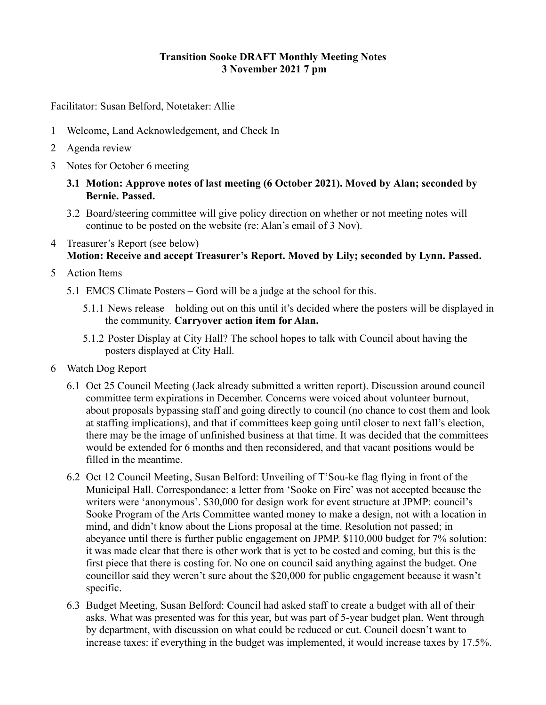#### **Transition Sooke DRAFT Monthly Meeting Notes 3 November 2021 7 pm**

Facilitator: Susan Belford, Notetaker: Allie

- 1 Welcome, Land Acknowledgement, and Check In
- 2 Agenda review
- 3 Notes for October 6 meeting
	- **3.1 Motion: Approve notes of last meeting (6 October 2021). Moved by Alan; seconded by Bernie. Passed.**
	- 3.2 Board/steering committee will give policy direction on whether or not meeting notes will continue to be posted on the website (re: Alan's email of 3 Nov).
- 4 Treasurer's Report (see below) **Motion: Receive and accept Treasurer's Report. Moved by Lily; seconded by Lynn. Passed.**
- 5 Action Items
	- 5.1 EMCS Climate Posters Gord will be a judge at the school for this.
		- 5.1.1 News release holding out on this until it's decided where the posters will be displayed in the community. **Carryover action item for Alan.**
		- 5.1.2 Poster Display at City Hall? The school hopes to talk with Council about having the posters displayed at City Hall.
- 6 Watch Dog Report
	- 6.1 Oct 25 Council Meeting (Jack already submitted a written report). Discussion around council committee term expirations in December. Concerns were voiced about volunteer burnout, about proposals bypassing staff and going directly to council (no chance to cost them and look at staffing implications), and that if committees keep going until closer to next fall's election, there may be the image of unfinished business at that time. It was decided that the committees would be extended for 6 months and then reconsidered, and that vacant positions would be filled in the meantime.
	- 6.2 Oct 12 Council Meeting, Susan Belford: Unveiling of T'Sou-ke flag flying in front of the Municipal Hall. Correspondance: a letter from 'Sooke on Fire' was not accepted because the writers were 'anonymous'. \$30,000 for design work for event structure at JPMP: council's Sooke Program of the Arts Committee wanted money to make a design, not with a location in mind, and didn't know about the Lions proposal at the time. Resolution not passed; in abeyance until there is further public engagement on JPMP. \$110,000 budget for 7% solution: it was made clear that there is other work that is yet to be costed and coming, but this is the first piece that there is costing for. No one on council said anything against the budget. One councillor said they weren't sure about the \$20,000 for public engagement because it wasn't specific.
	- 6.3 Budget Meeting, Susan Belford: Council had asked staff to create a budget with all of their asks. What was presented was for this year, but was part of 5-year budget plan. Went through by department, with discussion on what could be reduced or cut. Council doesn't want to increase taxes: if everything in the budget was implemented, it would increase taxes by 17.5%.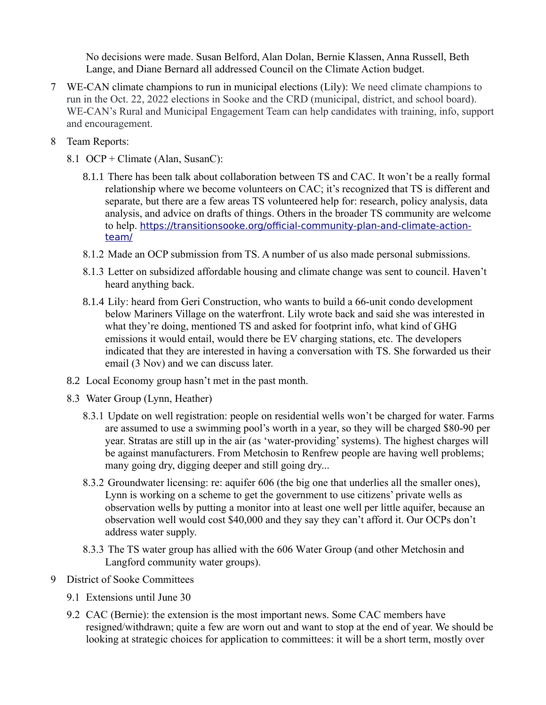No decisions were made. Susan Belford, Alan Dolan, Bernie Klassen, Anna Russell, Beth Lange, and Diane Bernard all addressed Council on the Climate Action budget.

- 7 WE-CAN climate champions to run in municipal elections (Lily): We need climate champions to run in the Oct. 22, 2022 elections in Sooke and the CRD (municipal, district, and school board). WE-CAN's Rural and Municipal Engagement Team can help candidates with training, info, support and encouragement.
- 8 Team Reports:
	- 8.1 OCP + Climate (Alan, SusanC):
		- 8.1.1 There has been talk about collaboration between TS and CAC. It won't be a really formal relationship where we become volunteers on CAC; it's recognized that TS is different and separate, but there are a few areas TS volunteered help for: research, policy analysis, data analysis, and advice on drafts of things. Others in the broader TS community are welcome to help. [https://transitionsooke.org/official-community-plan-and-climate-action](https://transitionsooke.org/official-community-plan-and-climate-action-team/)[team/](https://transitionsooke.org/official-community-plan-and-climate-action-team/)
		- 8.1.2 Made an OCP submission from TS. A number of us also made personal submissions.
		- 8.1.3 Letter on subsidized affordable housing and climate change was sent to council. Haven't heard anything back.
		- 8.1.4 Lily: heard from Geri Construction, who wants to build a 66-unit condo development below Mariners Village on the waterfront. Lily wrote back and said she was interested in what they're doing, mentioned TS and asked for footprint info, what kind of GHG emissions it would entail, would there be EV charging stations, etc. The developers indicated that they are interested in having a conversation with TS. She forwarded us their email (3 Nov) and we can discuss later.
	- 8.2 Local Economy group hasn't met in the past month.
	- 8.3 Water Group (Lynn, Heather)
		- 8.3.1 Update on well registration: people on residential wells won't be charged for water. Farms are assumed to use a swimming pool's worth in a year, so they will be charged \$80-90 per year. Stratas are still up in the air (as 'water-providing' systems). The highest charges will be against manufacturers. From Metchosin to Renfrew people are having well problems; many going dry, digging deeper and still going dry...
		- 8.3.2 Groundwater licensing: re: aquifer 606 (the big one that underlies all the smaller ones), Lynn is working on a scheme to get the government to use citizens' private wells as observation wells by putting a monitor into at least one well per little aquifer, because an observation well would cost \$40,000 and they say they can't afford it. Our OCPs don't address water supply.
		- 8.3.3 The TS water group has allied with the 606 Water Group (and other Metchosin and Langford community water groups).
- 9 District of Sooke Committees
	- 9.1 Extensions until June 30
	- 9.2 CAC (Bernie): the extension is the most important news. Some CAC members have resigned/withdrawn; quite a few are worn out and want to stop at the end of year. We should be looking at strategic choices for application to committees: it will be a short term, mostly over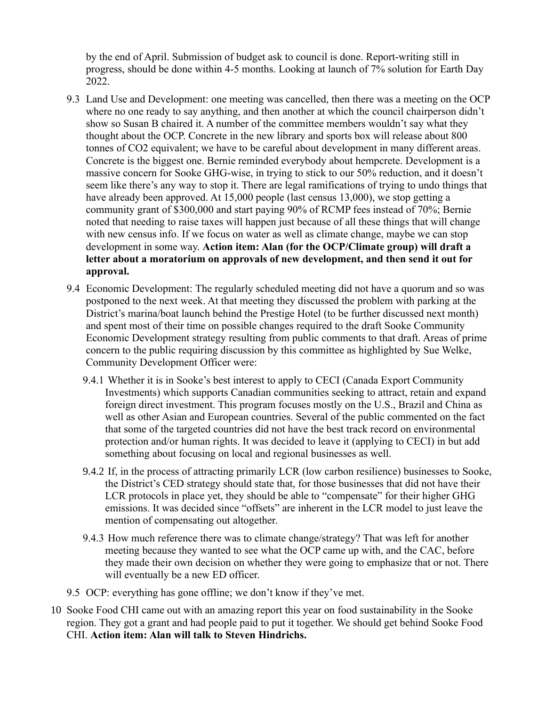by the end of April. Submission of budget ask to council is done. Report-writing still in progress, should be done within 4-5 months. Looking at launch of 7% solution for Earth Day 2022.

- 9.3 Land Use and Development: one meeting was cancelled, then there was a meeting on the OCP where no one ready to say anything, and then another at which the council chairperson didn't show so Susan B chaired it. A number of the committee members wouldn't say what they thought about the OCP. Concrete in the new library and sports box will release about 800 tonnes of CO2 equivalent; we have to be careful about development in many different areas. Concrete is the biggest one. Bernie reminded everybody about hempcrete. Development is a massive concern for Sooke GHG-wise, in trying to stick to our 50% reduction, and it doesn't seem like there's any way to stop it. There are legal ramifications of trying to undo things that have already been approved. At 15,000 people (last census 13,000), we stop getting a community grant of \$300,000 and start paying 90% of RCMP fees instead of 70%; Bernie noted that needing to raise taxes will happen just because of all these things that will change with new census info. If we focus on water as well as climate change, maybe we can stop development in some way. **Action item: Alan (for the OCP/Climate group) will draft a letter about a moratorium on approvals of new development, and then send it out for approval.**
- 9.4 Economic Development: The regularly scheduled meeting did not have a quorum and so was postponed to the next week. At that meeting they discussed the problem with parking at the District's marina/boat launch behind the Prestige Hotel (to be further discussed next month) and spent most of their time on possible changes required to the draft Sooke Community Economic Development strategy resulting from public comments to that draft. Areas of prime concern to the public requiring discussion by this committee as highlighted by Sue Welke, Community Development Officer were:
	- 9.4.1 Whether it is in Sooke's best interest to apply to CECI (Canada Export Community Investments) which supports Canadian communities seeking to attract, retain and expand foreign direct investment. This program focuses mostly on the U.S., Brazil and China as well as other Asian and European countries. Several of the public commented on the fact that some of the targeted countries did not have the best track record on environmental protection and/or human rights. It was decided to leave it (applying to CECI) in but add something about focusing on local and regional businesses as well.
	- 9.4.2 If, in the process of attracting primarily LCR (low carbon resilience) businesses to Sooke, the District's CED strategy should state that, for those businesses that did not have their LCR protocols in place yet, they should be able to "compensate" for their higher GHG emissions. It was decided since "offsets" are inherent in the LCR model to just leave the mention of compensating out altogether.
	- 9.4.3 How much reference there was to climate change/strategy? That was left for another meeting because they wanted to see what the OCP came up with, and the CAC, before they made their own decision on whether they were going to emphasize that or not. There will eventually be a new ED officer.
- 9.5 OCP: everything has gone offline; we don't know if they've met.
- 10 Sooke Food CHI came out with an amazing report this year on food sustainability in the Sooke region. They got a grant and had people paid to put it together. We should get behind Sooke Food CHI. **Action item: Alan will talk to Steven Hindrichs.**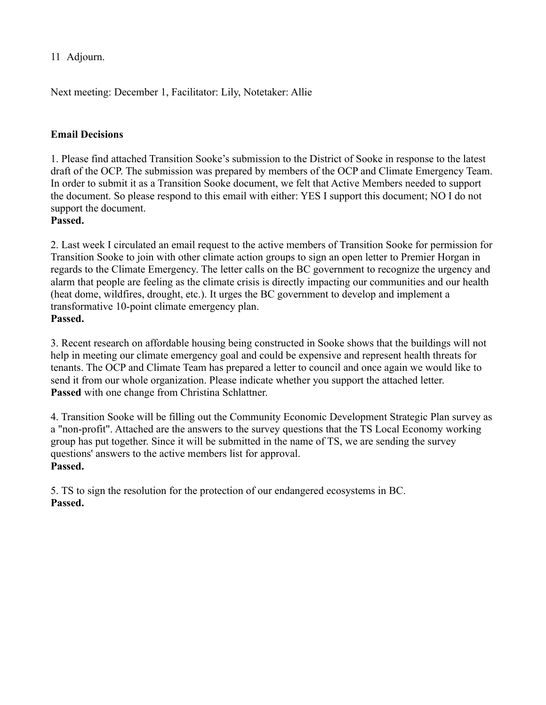11 Adjourn.

Next meeting: December 1, Facilitator: Lily, Notetaker: Allie

#### **Email Decisions**

1. Please find attached Transition Sooke's submission to the District of Sooke in response to the latest draft of the OCP. The submission was prepared by members of the OCP and Climate Emergency Team. In order to submit it as a Transition Sooke document, we felt that Active Members needed to support the document. So please respond to this email with either: YES I support this document; NO I do not support the document.

**Passed.**

2. Last week I circulated an email request to the active members of Transition Sooke for permission for Transition Sooke to join with other climate action groups to sign an open letter to Premier Horgan in regards to the Climate Emergency. The letter calls on the BC government to recognize the urgency and alarm that people are feeling as the climate crisis is directly impacting our communities and our health (heat dome, wildfires, drought, etc.). It urges the BC government to develop and implement a transformative 10-point climate emergency plan. **Passed.**

3. Recent research on affordable housing being constructed in Sooke shows that the buildings will not help in meeting our climate emergency goal and could be expensive and represent health threats for tenants. The OCP and Climate Team has prepared a letter to council and once again we would like to send it from our whole organization. Please indicate whether you support the attached letter. **Passed** with one change from Christina Schlattner.

4. Transition Sooke will be filling out the Community Economic Development Strategic Plan survey as a "non-profit". Attached are the answers to the survey questions that the TS Local Economy working group has put together. Since it will be submitted in the name of TS, we are sending the survey questions' answers to the active members list for approval. **Passed.**

5. TS to sign the resolution for the protection of our endangered ecosystems in BC. **Passed.**